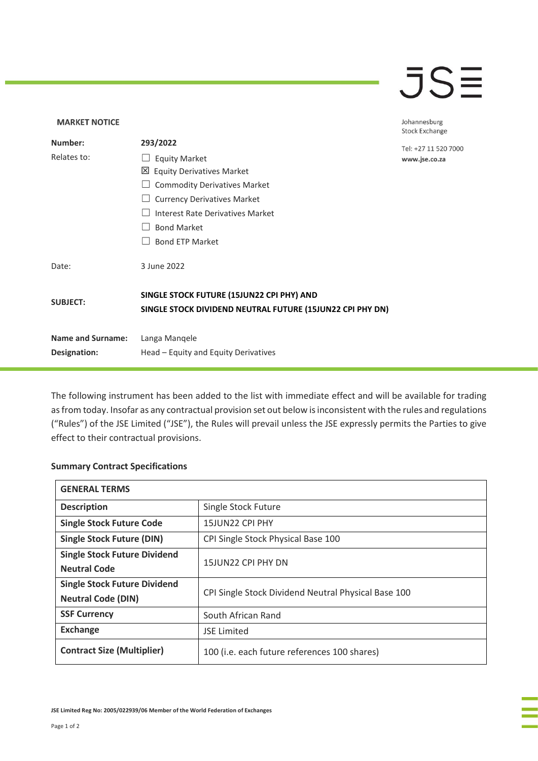## $\overline{\mathsf{J}}\mathsf{S}\overline{\mathsf{H}}$

## **MARKET NOTICE** Johannesburg **Stock Exchange Number: 293/2022** Tel: +27 11 520 7000 Relates to: □ Equity Market www.jse.co.za Equity Derivatives Market ☐ Commodity Derivatives Market □ Currency Derivatives Market ☐ Interest Rate Derivatives Market ☐ Bond Market □ Bond ETP Market Date: 3 June 2022 **SINGLE STOCK FUTURE (15JUN22 CPI PHY) AND SUBJECT: SINGLE STOCK DIVIDEND NEUTRAL FUTURE (15JUN22 CPI PHY DN) Name and Surname:** Langa Manqele **Designation:** Head – Equity and Equity Derivatives

The following instrument has been added to the list with immediate effect and will be available for trading as from today. Insofar as any contractual provision set out below is inconsistent with the rules and regulations ("Rules") of the JSE Limited ("JSE"), the Rules will prevail unless the JSE expressly permits the Parties to give effect to their contractual provisions.

## **Summary Contract Specifications**

| <b>GENERAL TERMS</b>                |                                                     |
|-------------------------------------|-----------------------------------------------------|
| <b>Description</b>                  | Single Stock Future                                 |
| <b>Single Stock Future Code</b>     | 15JUN22 CPI PHY                                     |
| <b>Single Stock Future (DIN)</b>    | CPI Single Stock Physical Base 100                  |
| <b>Single Stock Future Dividend</b> | 15JUN22 CPI PHY DN                                  |
| <b>Neutral Code</b>                 |                                                     |
| <b>Single Stock Future Dividend</b> | CPI Single Stock Dividend Neutral Physical Base 100 |
| <b>Neutral Code (DIN)</b>           |                                                     |
| <b>SSF Currency</b>                 | South African Rand                                  |
| <b>Exchange</b>                     | <b>JSE Limited</b>                                  |
| <b>Contract Size (Multiplier)</b>   | 100 (i.e. each future references 100 shares)        |

**JSE Limited Reg No: 2005/022939/06 Member of the World Federation of Exchanges**